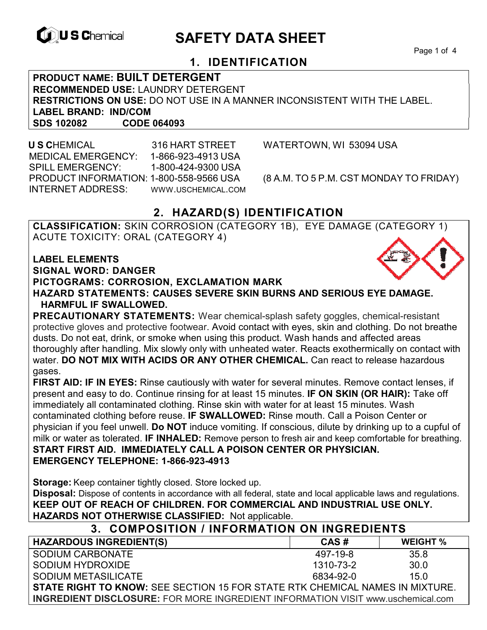

# **EXAGREM** SAFETY DATA SHEET

Page 1 of 4

## **1. IDENTIFICATION**

**PRODUCT NAME: BUILT DETERGENT RECOMMENDED USE:** LAUNDRY DETERGENT **RESTRICTIONS ON USE:** DO NOT USE IN A MANNER INCONSISTENT WITH THE LABEL. **LABEL BRAND: IND/COM SDS 102082 CODE 064093** 

 **U S C**HEMICAL 316 HART STREET WATERTOWN, WI 53094 USA MEDICAL EMERGENCY: 1-866-923-4913 USA SPILL EMERGENCY: 1-800-424-9300 USA PRODUCT INFORMATION: 1-800-558-9566 USA (8 A.M. TO 5 P.M. CST MONDAY TO FRIDAY) INTERNET ADDRESS: WWW.USCHEMICAL.COM

## **2. HAZARD(S) IDENTIFICATION**

**CLASSIFICATION:** SKIN CORROSION (CATEGORY 1B), EYE DAMAGE (CATEGORY 1) ACUTE TOXICITY: ORAL (CATEGORY 4)

**LABEL ELEMENTS SIGNAL WORD: DANGER PICTOGRAMS: CORROSION, EXCLAMATION MARK HAZARD STATEMENTS: CAUSES SEVERE SKIN BURNS AND SERIOUS EYE DAMAGE. HARMFUL IF SWALLOWED.** 

**PRECAUTIONARY STATEMENTS:** Wear chemical-splash safety goggles, chemical-resistant protective gloves and protective footwear. Avoid contact with eyes, skin and clothing. Do not breathe dusts. Do not eat, drink, or smoke when using this product. Wash hands and affected areas thoroughly after handling. Mix slowly only with unheated water. Reacts exothermically on contact with water. **DO NOT MIX WITH ACIDS OR ANY OTHER CHEMICAL.** Can react to release hazardous gases.

**FIRST AID: IF IN EYES:** Rinse cautiously with water for several minutes. Remove contact lenses, if present and easy to do. Continue rinsing for at least 15 minutes. **IF ON SKIN (OR HAIR):** Take off immediately all contaminated clothing. Rinse skin with water for at least 15 minutes. Wash contaminated clothing before reuse. **IF SWALLOWED:** Rinse mouth. Call a Poison Center or physician if you feel unwell. **Do NOT** induce vomiting. If conscious, dilute by drinking up to a cupful of milk or water as tolerated. **IF INHALED:** Remove person to fresh air and keep comfortable for breathing. **START FIRST AID. IMMEDIATELY CALL A POISON CENTER OR PHYSICIAN. EMERGENCY TELEPHONE: 1-866-923-4913** 

**Storage:** Keep container tightly closed. Store locked up.

**Disposal:** Dispose of contents in accordance with all federal, state and local applicable laws and regulations. **KEEP OUT OF REACH OF CHILDREN. FOR COMMERCIAL AND INDUSTRIAL USE ONLY. HAZARDS NOT OTHERWISE CLASSIFIED:** Not applicable.

| 3. COMPOSITION / INFORMATION ON INGREDIENTS                                            |           |                 |  |
|----------------------------------------------------------------------------------------|-----------|-----------------|--|
| <b>HAZARDOUS INGREDIENT(S)</b>                                                         | CAS#      | <b>WEIGHT %</b> |  |
| SODIUM CARBONATE                                                                       | 497-19-8  | 35.8            |  |
| SODIUM HYDROXIDE                                                                       | 1310-73-2 | 30.0            |  |
| SODIUM METASILICATE                                                                    | 6834-92-0 | 15.0            |  |
| <b>STATE RIGHT TO KNOW: SEE SECTION 15 FOR STATE RTK CHEMICAL NAMES IN MIXTURE.</b>    |           |                 |  |
| <b>INGREDIENT DISCLOSURE:</b> FOR MORE INGREDIENT INFORMATION VISIT www.uschemical.com |           |                 |  |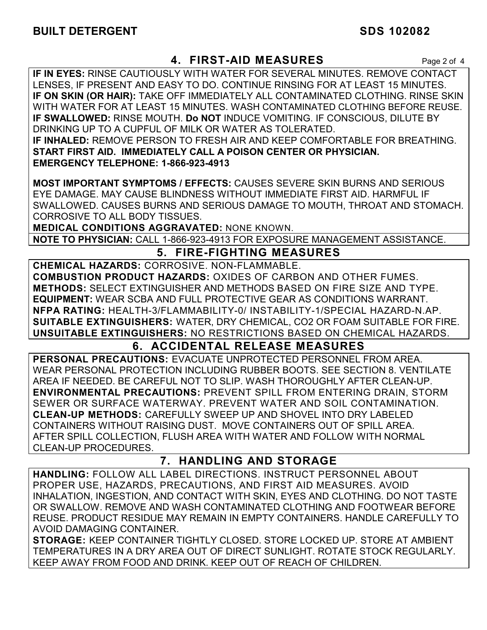## **4. FIRST-AID MEASURES** Page 2 of 4

**IF IN EYES:** RINSE CAUTIOUSLY WITH WATER FOR SEVERAL MINUTES. REMOVE CONTACT LENSES, IF PRESENT AND EASY TO DO. CONTINUE RINSING FOR AT LEAST 15 MINUTES. **IF ON SKIN (OR HAIR):** TAKE OFF IMMEDIATELY ALL CONTAMINATED CLOTHING. RINSE SKIN WITH WATER FOR AT LEAST 15 MINUTES. WASH CONTAMINATED CLOTHING BEFORE REUSE. **IF SWALLOWED:** RINSE MOUTH. **Do NOT** INDUCE VOMITING. IF CONSCIOUS, DILUTE BY DRINKING UP TO A CUPFUL OF MILK OR WATER AS TOLERATED. **IF INHALED:** REMOVE PERSON TO FRESH AIR AND KEEP COMFORTABLE FOR BREATHING. **START FIRST AID. IMMEDIATELY CALL A POISON CENTER OR PHYSICIAN. EMERGENCY TELEPHONE: 1-866-923-4913**

**MOST IMPORTANT SYMPTOMS / EFFECTS:** CAUSES SEVERE SKIN BURNS AND SERIOUS EYE DAMAGE. MAY CAUSE BLINDNESS WITHOUT IMMEDIATE FIRST AID. HARMFUL IF SWALLOWED. CAUSES BURNS AND SERIOUS DAMAGE TO MOUTH, THROAT AND STOMACH. CORROSIVE TO ALL BODY TISSUES.

**MEDICAL CONDITIONS AGGRAVATED:** NONE KNOWN.

**NOTE TO PHYSICIAN:** CALL 1-866-923-4913 FOR EXPOSURE MANAGEMENT ASSISTANCE.

## **5. FIRE-FIGHTING MEASURES**

**CHEMICAL HAZARDS:** CORROSIVE. NON-FLAMMABLE. **COMBUSTION PRODUCT HAZARDS:** OXIDES OF CARBON AND OTHER FUMES. **METHODS:** SELECT EXTINGUISHER AND METHODS BASED ON FIRE SIZE AND TYPE. **EQUIPMENT:** WEAR SCBA AND FULL PROTECTIVE GEAR AS CONDITIONS WARRANT. **NFPA RATING:** HEALTH-3/FLAMMABILITY-0/ INSTABILITY-1/SPECIAL HAZARD-N.AP. **SUITABLE EXTINGUISHERS:** WATER, DRY CHEMICAL, CO2 OR FOAM SUITABLE FOR FIRE. **UNSUITABLE EXTINGUISHERS:** NO RESTRICTIONS BASED ON CHEMICAL HAZARDS.

## **6. ACCIDENTAL RELEASE MEASURES**

**PERSONAL PRECAUTIONS:** EVACUATE UNPROTECTED PERSONNEL FROM AREA. WEAR PERSONAL PROTECTION INCLUDING RUBBER BOOTS. SEE SECTION 8. VENTILATE AREA IF NEEDED. BE CAREFUL NOT TO SLIP. WASH THOROUGHLY AFTER CLEAN-UP. **ENVIRONMENTAL PRECAUTIONS:** PREVENT SPILL FROM ENTERING DRAIN, STORM SEWER OR SURFACE WATERWAY. PREVENT WATER AND SOIL CONTAMINATION. **CLEAN-UP METHODS:** CAREFULLY SWEEP UP AND SHOVEL INTO DRY LABELED CONTAINERS WITHOUT RAISING DUST. MOVE CONTAINERS OUT OF SPILL AREA. AFTER SPILL COLLECTION, FLUSH AREA WITH WATER AND FOLLOW WITH NORMAL CLEAN-UP PROCEDURES.

## **7. HANDLING AND STORAGE**

**HANDLING:** FOLLOW ALL LABEL DIRECTIONS. INSTRUCT PERSONNEL ABOUT PROPER USE, HAZARDS, PRECAUTIONS, AND FIRST AID MEASURES. AVOID INHALATION, INGESTION, AND CONTACT WITH SKIN, EYES AND CLOTHING. DO NOT TASTE OR SWALLOW. REMOVE AND WASH CONTAMINATED CLOTHING AND FOOTWEAR BEFORE REUSE. PRODUCT RESIDUE MAY REMAIN IN EMPTY CONTAINERS. HANDLE CAREFULLY TO AVOID DAMAGING CONTAINER.

**STORAGE:** KEEP CONTAINER TIGHTLY CLOSED. STORE LOCKED UP. STORE AT AMBIENT TEMPERATURES IN A DRY AREA OUT OF DIRECT SUNLIGHT. ROTATE STOCK REGULARLY. KEEP AWAY FROM FOOD AND DRINK. KEEP OUT OF REACH OF CHILDREN.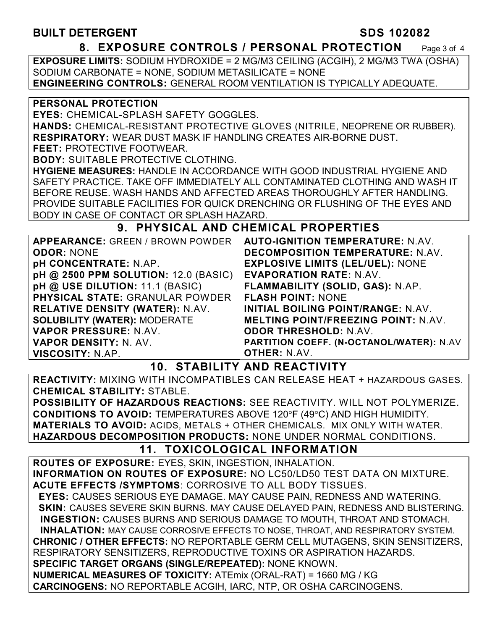### **BUILT DETERGENT SDS 102082**

#### **8. EXPOSURE CONTROLS / PERSONAL PROTECTION** Page 3 of 4

**EXPOSURE LIMITS:** SODIUM HYDROXIDE = 2 MG/M3 CEILING (ACGIH), 2 MG/M3 TWA (OSHA) SODIUM CARBONATE = NONE, SODIUM METASILICATE = NONE **ENGINEERING CONTROLS:** GENERAL ROOM VENTILATION IS TYPICALLY ADEQUATE.

#### **PERSONAL PROTECTION**

**EYES:** CHEMICAL-SPLASH SAFETY GOGGLES.

**HANDS:** CHEMICAL-RESISTANT PROTECTIVE GLOVES (NITRILE, NEOPRENE OR RUBBER). **RESPIRATORY:** WEAR DUST MASK IF HANDLING CREATES AIR-BORNE DUST.

**FEET:** PROTECTIVE FOOTWEAR.

**BODY:** SUITABLE PROTECTIVE CLOTHING.

**HYGIENE MEASURES:** HANDLE IN ACCORDANCE WITH GOOD INDUSTRIAL HYGIENE AND SAFETY PRACTICE. TAKE OFF IMMEDIATELY ALL CONTAMINATED CLOTHING AND WASH IT BEFORE REUSE. WASH HANDS AND AFFECTED AREAS THOROUGHLY AFTER HANDLING. PROVIDE SUITABLE FACILITIES FOR QUICK DRENCHING OR FLUSHING OF THE EYES AND BODY IN CASE OF CONTACT OR SPLASH HAZARD.

## **9. PHYSICAL AND CHEMICAL PROPERTIES**

| <b>APPEARANCE: GREEN / BROWN POWDER</b> | <b>AUTO-IGNITION TEMPERATURE: N.AV.</b>    |
|-----------------------------------------|--------------------------------------------|
| <b>ODOR: NONE</b>                       | <b>DECOMPOSITION TEMPERATURE: N.AV.</b>    |
| <b>pH CONCENTRATE: N.AP.</b>            | <b>EXPLOSIVE LIMITS (LEL/UEL): NONE</b>    |
| pH @ 2500 PPM SOLUTION: 12.0 (BASIC)    | <b>EVAPORATION RATE: N.AV.</b>             |
| pH @ USE DILUTION: 11.1 (BASIC)         | FLAMMABILITY (SOLID, GAS): N.AP.           |
| <b>PHYSICAL STATE: GRANULAR POWDER</b>  | <b>FLASH POINT: NONE</b>                   |
| <b>RELATIVE DENSITY (WATER): N.AV.</b>  | <b>INITIAL BOILING POINT/RANGE: N.AV.</b>  |
| <b>SOLUBILITY (WATER): MODERATE</b>     | <b>MELTING POINT/FREEZING POINT: N.AV.</b> |
| VAPOR PRESSURE: N.AV.                   | <b>ODOR THRESHOLD: N.AV.</b>               |
| <b>VAPOR DENSITY: N. AV.</b>            | PARTITION COEFF. (N-OCTANOL/WATER): N.AV   |
| VISCOSITY: N.AP.                        | <b>OTHER: N.AV.</b>                        |

**10. STABILITY AND REACTIVITY** 

**REACTIVITY:** MIXING WITH INCOMPATIBLES CAN RELEASE HEAT + HAZARDOUS GASES. **CHEMICAL STABILITY:** STABLE.

**POSSIBILITY OF HAZARDOUS REACTIONS:** SEE REACTIVITY. WILL NOT POLYMERIZE. **CONDITIONS TO AVOID: TEMPERATURES ABOVE 120°F (49°C) AND HIGH HUMIDITY. MATERIALS TO AVOID:** ACIDS, METALS + OTHER CHEMICALS. MIX ONLY WITH WATER. **HAZARDOUS DECOMPOSITION PRODUCTS:** NONE UNDER NORMAL CONDITIONS.

## **11. TOXICOLOGICAL INFORMATION**

**ROUTES OF EXPOSURE:** EYES, SKIN, INGESTION, INHALATION. **INFORMATION ON ROUTES OF EXPOSURE:** NO LC50/LD50 TEST DATA ON MIXTURE. **ACUTE EFFECTS /SYMPTOMS**: CORROSIVE TO ALL BODY TISSUES.  **EYES:** CAUSES SERIOUS EYE DAMAGE. MAY CAUSE PAIN, REDNESS AND WATERING.  **SKIN:** CAUSES SEVERE SKIN BURNS. MAY CAUSE DELAYED PAIN, REDNESS AND BLISTERING. **INGESTION:** CAUSES BURNS AND SERIOUS DAMAGE TO MOUTH, THROAT AND STOMACH. **INHALATION:** MAY CAUSE CORROSIVE EFFECTS TO NOSE, THROAT, AND RESPIRATORY SYSTEM. **CHRONIC / OTHER EFFECTS:** NO REPORTABLE GERM CELL MUTAGENS, SKIN SENSITIZERS, RESPIRATORY SENSITIZERS, REPRODUCTIVE TOXINS OR ASPIRATION HAZARDS. **SPECIFIC TARGET ORGANS (SINGLE/REPEATED):** NONE KNOWN. **NUMERICAL MEASURES OF TOXICITY:** ATEmix (ORAL-RAT) = 1660 MG / KG **CARCINOGENS:** NO REPORTABLE ACGIH, IARC, NTP, OR OSHA CARCINOGENS.